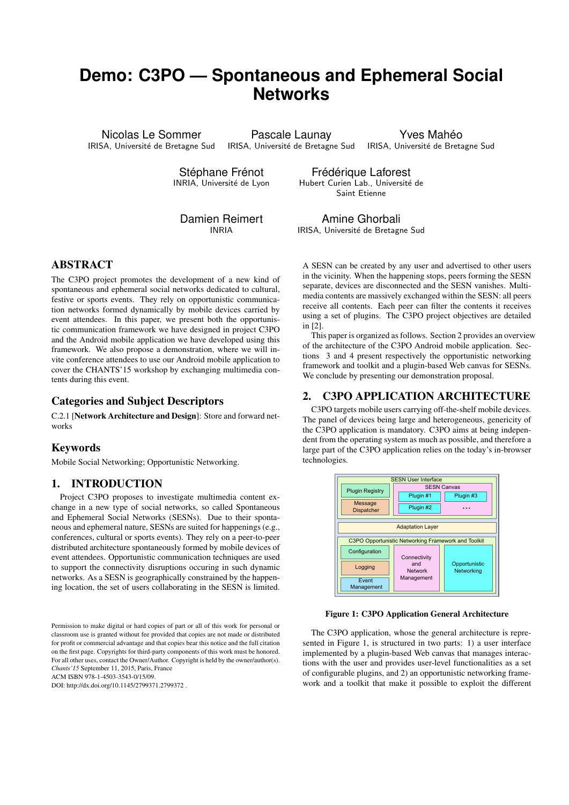# **Demo: C3PO — Spontaneous and Ephemeral Social Networks**

Nicolas Le Sommer IRISA, Université de Bretagne Sud IRISA, Université de Bretagne Sud

Pascale Launay

Yves Mahéo IRISA, Université de Bretagne Sud

Stéphane Frénot INRIA, Université de Lyon

Frédérique Laforest Hubert Curien Lab., Université de Saint Etienne

Damien Reimert INRIA

Amine Ghorbali IRISA, Université de Bretagne Sud

# ABSTRACT

The C3PO project promotes the development of a new kind of spontaneous and ephemeral social networks dedicated to cultural, festive or sports events. They rely on opportunistic communication networks formed dynamically by mobile devices carried by event attendees. In this paper, we present both the opportunistic communication framework we have designed in project C3PO and the Android mobile application we have developed using this framework. We also propose a demonstration, where we will invite conference attendees to use our Android mobile application to cover the CHANTS'15 workshop by exchanging multimedia contents during this event.

## Categories and Subject Descriptors

C.2.1 [Network Architecture and Design]: Store and forward networks

## Keywords

Mobile Social Networking; Opportunistic Networking.

## 1. INTRODUCTION

Project C3PO proposes to investigate multimedia content exchange in a new type of social networks, so called Spontaneous and Ephemeral Social Networks (SESNs). Due to their spontaneous and ephemeral nature, SESNs are suited for happenings (e.g., conferences, cultural or sports events). They rely on a peer-to-peer distributed architecture spontaneously formed by mobile devices of event attendees. Opportunistic communication techniques are used to support the connectivity disruptions occuring in such dynamic networks. As a SESN is geographically constrained by the happening location, the set of users collaborating in the SESN is limited.

Permission to make digital or hard copies of part or all of this work for personal or classroom use is granted without fee provided that copies are not made or distributed for profit or commercial advantage and that copies bear this notice and the full citation on the first page. Copyrights for third-party components of this work must be honored. For all other uses, contact the Owner/Author. Copyright is held by the owner/author(s). *Chants'15* September 11, 2015, Paris, France

ACM ISBN 978-1-4503-3543-0/15/09.

DOI: http://dx.doi.org/10.1145/2799371.2799372 .

A SESN can be created by any user and advertised to other users in the vicinity. When the happening stops, peers forming the SESN separate, devices are disconnected and the SESN vanishes. Multimedia contents are massively exchanged within the SESN: all peers receive all contents. Each peer can filter the contents it receives using a set of plugins. The C3PO project objectives are detailed in [2].

This paper is organized as follows. Section 2 provides an overview of the architecture of the C3PO Android mobile application. Sections 3 and 4 present respectively the opportunistic networking framework and toolkit and a plugin-based Web canvas for SESNs. We conclude by presenting our demonstration proposal.

## 2. C3PO APPLICATION ARCHITECTURE

C3PO targets mobile users carrying off-the-shelf mobile devices. The panel of devices being large and heterogeneous, genericity of the C3PO application is mandatory. C3PO aims at being independent from the operating system as much as possible, and therefore a large part of the C3PO application relies on the today's in-browser technologies.



#### Figure 1: C3PO Application General Architecture

The C3PO application, whose the general architecture is represented in Figure 1, is structured in two parts: 1) a user interface implemented by a plugin-based Web canvas that manages interactions with the user and provides user-level functionalities as a set of configurable plugins, and 2) an opportunistic networking framework and a toolkit that make it possible to exploit the different